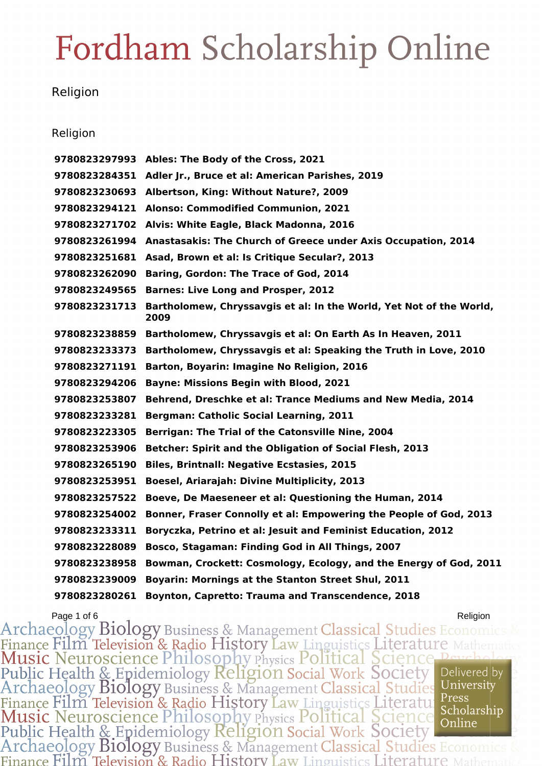#### Religion

#### Religion

 **Ables: The Body of the Cross, 2021 Adler Jr., Bruce et al: American Parishes, 2019 Albertson, King: Without Nature?, 2009 Alonso: Commodified Communion, 2021 Alvis: White Eagle, Black Madonna, 2016 Anastasakis: The Church of Greece under Axis Occupation, 2014 Asad, Brown et al: Is Critique Secular?, 2013 Baring, Gordon: The Trace of God, 2014 Barnes: Live Long and Prosper, 2012 Bartholomew, Chryssavgis et al: In the World, Yet Not of the World, Bartholomew, Chryssavgis et al: On Earth As In Heaven, 2011 Bartholomew, Chryssavgis et al: Speaking the Truth in Love, 2010 Barton, Boyarin: Imagine No Religion, 2016 Bayne: Missions Begin with Blood, 2021 Behrend, Dreschke et al: Trance Mediums and New Media, 2014 Bergman: Catholic Social Learning, 2011 Berrigan: The Trial of the Catonsville Nine, 2004 Betcher: Spirit and the Obligation of Social Flesh, 2013 Biles, Brintnall: Negative Ecstasies, 2015 Boesel, Ariarajah: Divine Multiplicity, 2013 Boeve, De Maeseneer et al: Questioning the Human, 2014 Bonner, Fraser Connolly et al: Empowering the People of God, 2013 Boryczka, Petrino et al: Jesuit and Feminist Education, 2012 Bosco, Stagaman: Finding God in All Things, 2007 Bowman, Crockett: Cosmology, Ecology, and the Energy of God, 2011 Boyarin: Mornings at the Stanton Street Shul, 2011 Boynton, Capretto: Trauma and Transcendence, 2018**

Page 1 of 6<br>Archaeology Biology Business & Management Classical Studies Econom Finance Film Television & Radio History Law Linguistics Literature<br>Music Neuroscience Philosophy Physics Political Science Pe Public Health & Epidemiology Religion Social Work Society Delivered by University Archaeology Biology Business & Management Classical Studies Finance Film Television & Radio History Law Linguistics Literature<br>Music Neuroscience Philosophy Physics Political Science<br>Public Health & Epidemiology Religion Social Work Society Press Scholarship Online Archaeology Biology Business & Management Classical Studies Economic Finance Film Television & Radio History Law Linguistics Literature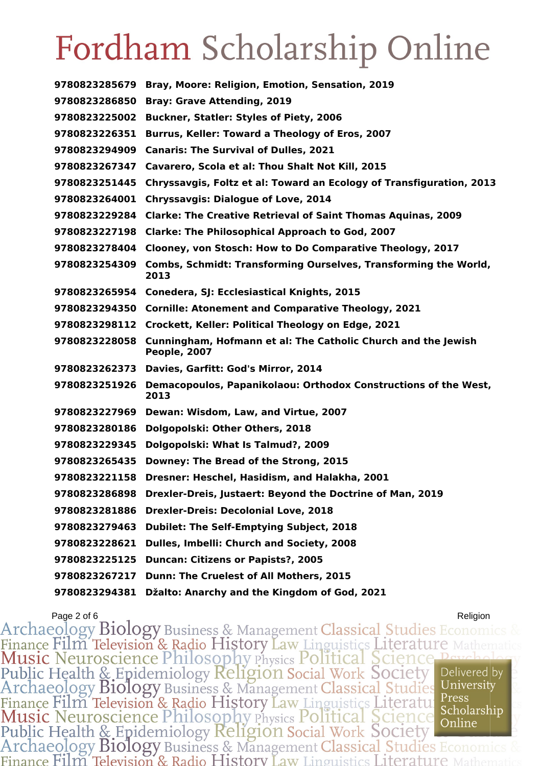| 9780823285679 | Bray, Moore: Religion, Emotion, Sensation, 2019                               |
|---------------|-------------------------------------------------------------------------------|
| 9780823286850 | <b>Bray: Grave Attending, 2019</b>                                            |
| 9780823225002 | <b>Buckner, Statler: Styles of Piety, 2006</b>                                |
| 9780823226351 | Burrus, Keller: Toward a Theology of Eros, 2007                               |
| 9780823294909 | <b>Canaris: The Survival of Dulles, 2021</b>                                  |
| 9780823267347 | Cavarero, Scola et al: Thou Shalt Not Kill, 2015                              |
| 9780823251445 | Chryssavgis, Foltz et al: Toward an Ecology of Transfiguration, 2013          |
| 9780823264001 | <b>Chryssavgis: Dialogue of Love, 2014</b>                                    |
| 9780823229284 | <b>Clarke: The Creative Retrieval of Saint Thomas Aquinas, 2009</b>           |
| 9780823227198 | <b>Clarke: The Philosophical Approach to God, 2007</b>                        |
| 9780823278404 | Clooney, von Stosch: How to Do Comparative Theology, 2017                     |
| 9780823254309 | Combs, Schmidt: Transforming Ourselves, Transforming the World,<br>2013       |
|               | 9780823265954 Conedera, SJ: Ecclesiastical Knights, 2015                      |
| 9780823294350 | <b>Cornille: Atonement and Comparative Theology, 2021</b>                     |
| 9780823298112 | Crockett, Keller: Political Theology on Edge, 2021                            |
| 9780823228058 | Cunningham, Hofmann et al: The Catholic Church and the Jewish<br>People, 2007 |
| 9780823262373 | Davies, Garfitt: God's Mirror, 2014                                           |
| 9780823251926 | Demacopoulos, Papanikolaou: Orthodox Constructions of the West,<br>2013       |
| 9780823227969 | Dewan: Wisdom, Law, and Virtue, 2007                                          |
| 9780823280186 | Dolgopolski: Other Others, 2018                                               |
| 9780823229345 | Dolgopolski: What Is Talmud?, 2009                                            |
| 9780823265435 | Downey: The Bread of the Strong, 2015                                         |
| 9780823221158 | Dresner: Heschel, Hasidism, and Halakha, 2001                                 |
| 9780823286898 | Drexler-Dreis, Justaert: Beyond the Doctrine of Man, 2019                     |
| 9780823281886 | <b>Drexler-Dreis: Decolonial Love, 2018</b>                                   |
| 9780823279463 | <b>Dubilet: The Self-Emptying Subject, 2018</b>                               |
| 9780823228621 | Dulles, Imbelli: Church and Society, 2008                                     |
| 9780823225125 | <b>Duncan: Citizens or Papists?, 2005</b>                                     |
| 9780823267217 | Dunn: The Cruelest of All Mothers, 2015                                       |
| 9780823294381 | Džalto: Anarchy and the Kingdom of God, 2021                                  |

Page 2 of 6<br>Archaeology Biology Business & Management Classical Studies Economics & Finance Film Television & Radio History Law Linguistics Literature Mathem<br>Music Neuroscience Philosophy Physics Political Science Psychology<br>Public Health & Epidemiology Religion Social Work Society<br>Archaeology Biology Bus Delivered by Finance Film Television & Radio History Law Linguistics Literature Press<br>Music Neuroscience Philosophy Physics Political Science Scholarship<br>Public Health & Epidemiology Religion Social Work Society<br>Archaeology Biology Bus Press Finance Film Television & Radio History Law Linguistics Literature 1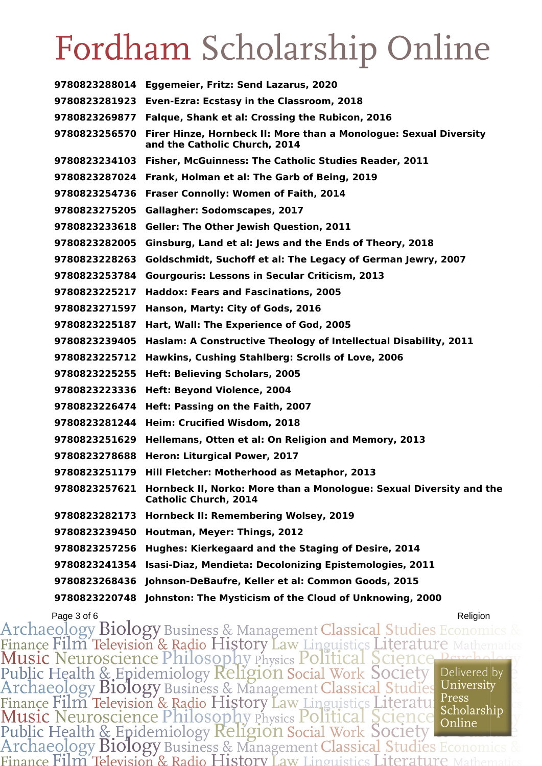| 9780823288014 | Eggemeier, Fritz: Send Lazarus, 2020                                                                |
|---------------|-----------------------------------------------------------------------------------------------------|
| 9780823281923 | Even-Ezra: Ecstasy in the Classroom, 2018                                                           |
| 9780823269877 | Falque, Shank et al: Crossing the Rubicon, 2016                                                     |
| 9780823256570 | Firer Hinze, Hornbeck II: More than a Monologue: Sexual Diversity<br>and the Catholic Church, 2014  |
| 9780823234103 | Fisher, McGuinness: The Catholic Studies Reader, 2011                                               |
| 9780823287024 | Frank, Holman et al: The Garb of Being, 2019                                                        |
| 9780823254736 | <b>Fraser Connolly: Women of Faith, 2014</b>                                                        |
| 9780823275205 | <b>Gallagher: Sodomscapes, 2017</b>                                                                 |
| 9780823233618 | <b>Geller: The Other Jewish Question, 2011</b>                                                      |
| 9780823282005 | Ginsburg, Land et al: Jews and the Ends of Theory, 2018                                             |
| 9780823228263 | Goldschmidt, Suchoff et al: The Legacy of German Jewry, 2007                                        |
| 9780823253784 | <b>Gourgouris: Lessons in Secular Criticism, 2013</b>                                               |
| 9780823225217 | <b>Haddox: Fears and Fascinations, 2005</b>                                                         |
| 9780823271597 | Hanson, Marty: City of Gods, 2016                                                                   |
| 9780823225187 | Hart, Wall: The Experience of God, 2005                                                             |
| 9780823239405 | Haslam: A Constructive Theology of Intellectual Disability, 2011                                    |
| 9780823225712 | Hawkins, Cushing Stahlberg: Scrolls of Love, 2006                                                   |
| 9780823225255 | <b>Heft: Believing Scholars, 2005</b>                                                               |
| 9780823223336 | Heft: Beyond Violence, 2004                                                                         |
| 9780823226474 | Heft: Passing on the Faith, 2007                                                                    |
| 9780823281244 | Heim: Crucified Wisdom, 2018                                                                        |
| 9780823251629 | Hellemans, Otten et al: On Religion and Memory, 2013                                                |
| 9780823278688 | Heron: Liturgical Power, 2017                                                                       |
| 9780823251179 | Hill Fletcher: Motherhood as Metaphor, 2013                                                         |
| 9780823257621 | Hornbeck II, Norko: More than a Monologue: Sexual Diversity and the<br><b>Catholic Church, 2014</b> |
| 9780823282173 | <b>Hornbeck II: Remembering Wolsey, 2019</b>                                                        |
| 9780823239450 | Houtman, Meyer: Things, 2012                                                                        |
| 9780823257256 | Hughes: Kierkegaard and the Staging of Desire, 2014                                                 |
| 9780823241354 | Isasi-Diaz, Mendieta: Decolonizing Epistemologies, 2011                                             |
| 9780823268436 | Johnson-DeBaufre, Keller et al: Common Goods, 2015                                                  |
| 9780823220748 | Johnston: The Mysticism of the Cloud of Unknowing, 2000                                             |

Page 3 of 6<br>Archaeology Biology Business & Management Classical Studies Economics Finance Film Television & Radio History Law Linguistics Literature N<br>Music Neuroscience Philosophy Physics Political Science Per Public Health & Epidemiology Religion Social Work Society<br>Archaeology Biology Business & Management Classical Studies Delivered by University Finance Film Television & Radio History Law Linguistics Literature Press<br>Music Neuroscience Philosophy Physics Political Science Scholars<br>Public Health & Epidemiology Religion Social Work Society<br>Archaeology Biology Busine Scholarship Finance Film Television & Radio History Law Linguistics Literature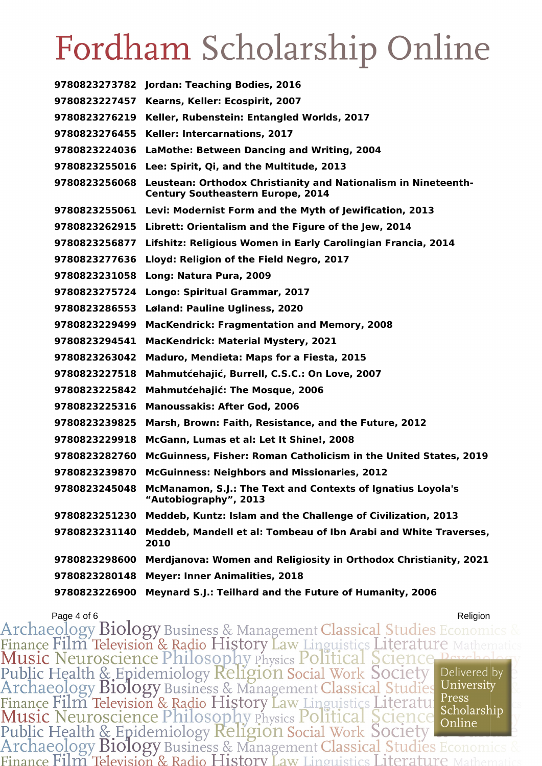|               | 9780823273782 Jordan: Teaching Bodies, 2016                                                                |
|---------------|------------------------------------------------------------------------------------------------------------|
| 9780823227457 | Kearns, Keller: Ecospirit, 2007                                                                            |
| 9780823276219 | Keller, Rubenstein: Entangled Worlds, 2017                                                                 |
| 9780823276455 | Keller: Intercarnations, 2017                                                                              |
| 9780823224036 | LaMothe: Between Dancing and Writing, 2004                                                                 |
| 9780823255016 | Lee: Spirit, Qi, and the Multitude, 2013                                                                   |
| 9780823256068 | Leustean: Orthodox Christianity and Nationalism in Nineteenth-<br><b>Century Southeastern Europe, 2014</b> |
| 9780823255061 | Levi: Modernist Form and the Myth of Jewification, 2013                                                    |
| 9780823262915 | Librett: Orientalism and the Figure of the Jew, 2014                                                       |
| 9780823256877 | Lifshitz: Religious Women in Early Carolingian Francia, 2014                                               |
| 9780823277636 | Lloyd: Religion of the Field Negro, 2017                                                                   |
| 9780823231058 | Long: Natura Pura, 2009                                                                                    |
| 9780823275724 | <b>Longo: Spiritual Grammar, 2017</b>                                                                      |
| 9780823286553 | <b>Løland: Pauline Ugliness, 2020</b>                                                                      |
| 9780823229499 | <b>MacKendrick: Fragmentation and Memory, 2008</b>                                                         |
| 9780823294541 | <b>MacKendrick: Material Mystery, 2021</b>                                                                 |
| 9780823263042 | <b>Maduro, Mendieta: Maps for a Fiesta, 2015</b>                                                           |
| 9780823227518 | Mahmutćehajić, Burrell, C.S.C.: On Love, 2007                                                              |
| 9780823225842 | <b>Mahmutćehajić: The Mosque, 2006</b>                                                                     |
| 9780823225316 | <b>Manoussakis: After God, 2006</b>                                                                        |
| 9780823239825 | Marsh, Brown: Faith, Resistance, and the Future, 2012                                                      |
| 9780823229918 | McGann, Lumas et al: Let It Shine!, 2008                                                                   |
| 9780823282760 | McGuinness, Fisher: Roman Catholicism in the United States, 2019                                           |
| 9780823239870 | <b>McGuinness: Neighbors and Missionaries, 2012</b>                                                        |
|               | 9780823245048 McManamon, S.J.: The Text and Contexts of Ignatius Loyola's<br>"Autobiography", 2013         |
| 9780823251230 | Meddeb, Kuntz: Islam and the Challenge of Civilization, 2013                                               |
| 9780823231140 | Meddeb, Mandell et al: Tombeau of Ibn Arabi and White Traverses,<br>2010                                   |
| 9780823298600 | Merdjanova: Women and Religiosity in Orthodox Christianity, 2021                                           |
| 9780823280148 | <b>Meyer: Inner Animalities, 2018</b>                                                                      |
| 9780823226900 | Meynard S.J.: Teilhard and the Future of Humanity, 2006                                                    |

Page 4 of 6<br>8 Archaeology Biology Business & Management Classical Studies Economics Finance Film Television & Radio History Law Linguistics Literature Mathem<br>Music Neuroscience Philosophy Physics Political Science Peychol:<br>Public Health & Epidemiology Religion Social Work Society<br>Archaeology Biology Busin Delivered by Finance Film Television & Radio History Law Linguistics Literatul Press<br>Music Neuroscience Philosophy Physics Political Science Scholarship<br>Public Health & Epidemiology Religion Social Work Society<br>Archaeology Biology Busi Press Scholarship Finance Film Television & Radio History Law Linguistics Literature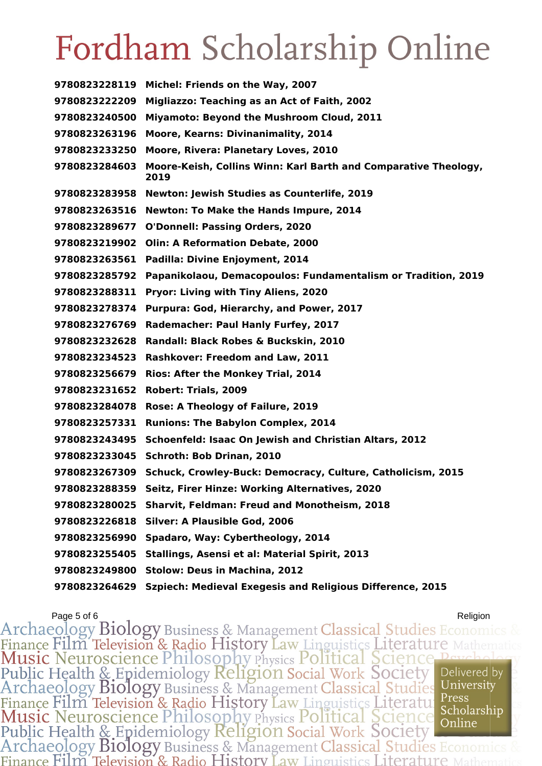**Michel: Friends on the Way, 2007 Migliazzo: Teaching as an Act of Faith, 2002 Miyamoto: Beyond the Mushroom Cloud, 2011 Moore, Kearns: Divinanimality, 2014 Moore, Rivera: Planetary Loves, 2010 Moore-Keish, Collins Winn: Karl Barth and Comparative Theology, Newton: Jewish Studies as Counterlife, 2019 Newton: To Make the Hands Impure, 2014 O'Donnell: Passing Orders, 2020 Olin: A Reformation Debate, 2000 Padilla: Divine Enjoyment, 2014 Papanikolaou, Demacopoulos: Fundamentalism or Tradition, 2019 Pryor: Living with Tiny Aliens, 2020 Purpura: God, Hierarchy, and Power, 2017 Rademacher: Paul Hanly Furfey, 2017 Randall: Black Robes & Buckskin, 2010 Rashkover: Freedom and Law, 2011 Rios: After the Monkey Trial, 2014 Robert: Trials, 2009 Rose: A Theology of Failure, 2019 Runions: The Babylon Complex, 2014 Schoenfeld: Isaac On Jewish and Christian Altars, 2012 Schroth: Bob Drinan, 2010 Schuck, Crowley-Buck: Democracy, Culture, Catholicism, 2015 Seitz, Firer Hinze: Working Alternatives, 2020 Sharvit, Feldman: Freud and Monotheism, 2018 Silver: A Plausible God, 2006 Spadaro, Way: Cybertheology, 2014 Stallings, Asensi et al: Material Spirit, 2013 Stolow: Deus in Machina, 2012 Szpiech: Medieval Exegesis and Religious Difference, 2015**

Page 5 of 6<br>Archaeology Biology Business & Management Classical Studies Economi Finance Film Television & Radio History Law Linguistics Literature Public Health & Epidemiology Religion Social Work Society Delivered by University Archaeology Biology Business & Management Classical Studies Finance Film Television & Radio History Law Linguistics Literatu:<br>Music Neuroscience Philosophy Physics Political Science Press Scholarship Online Public Health & Epidemiology Religion Social Work Society Archaeology Biology Business & Management Classical Studies Economics Finance Film Television & Radio History Law Linguistics Literature